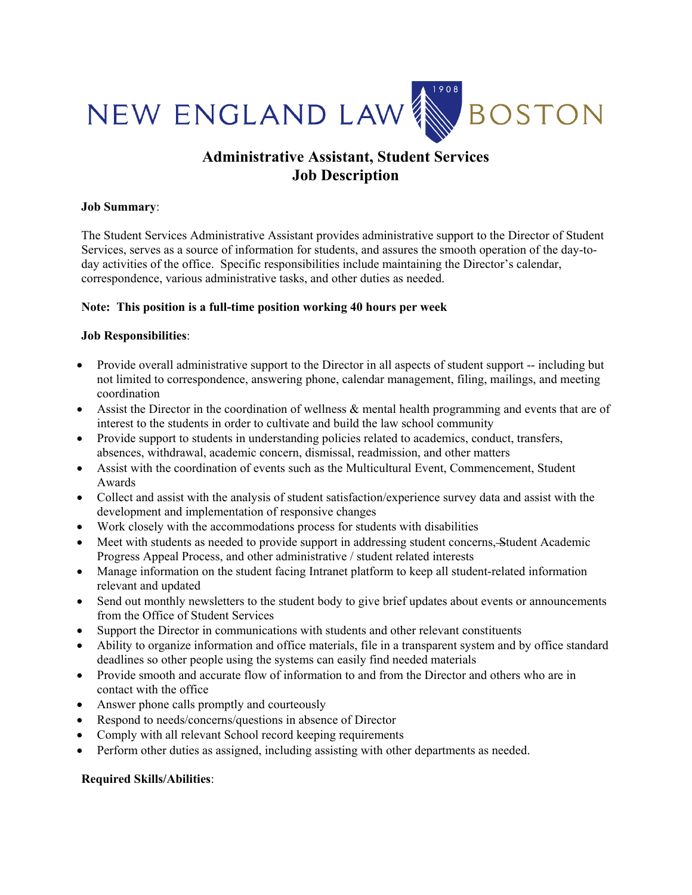

# **Administrative Assistant, Student Services Job Description**

### **Job Summary**:

The Student Services Administrative Assistant provides administrative support to the Director of Student Services, serves as a source of information for students, and assures the smooth operation of the day-today activities of the office. Specific responsibilities include maintaining the Director's calendar, correspondence, various administrative tasks, and other duties as needed.

## **Note: This position is a full-time position working 40 hours per week**

## **Job Responsibilities**:

- Provide overall administrative support to the Director in all aspects of student support -- including but not limited to correspondence, answering phone, calendar management, filing, mailings, and meeting coordination
- Assist the Director in the coordination of wellness & mental health programming and events that are of interest to the students in order to cultivate and build the law school community
- Provide support to students in understanding policies related to academics, conduct, transfers, absences, withdrawal, academic concern, dismissal, readmission, and other matters
- Assist with the coordination of events such as the Multicultural Event, Commencement, Student Awards
- Collect and assist with the analysis of student satisfaction/experience survey data and assist with the development and implementation of responsive changes
- Work closely with the accommodations process for students with disabilities
- Meet with students as needed to provide support in addressing student concerns, Student Academic Progress Appeal Process, and other administrative / student related interests
- Manage information on the student facing Intranet platform to keep all student-related information relevant and updated
- Send out monthly newsletters to the student body to give brief updates about events or announcements from the Office of Student Services
- Support the Director in communications with students and other relevant constituents
- Ability to organize information and office materials, file in a transparent system and by office standard deadlines so other people using the systems can easily find needed materials
- Provide smooth and accurate flow of information to and from the Director and others who are in contact with the office
- Answer phone calls promptly and courteously
- Respond to needs/concerns/questions in absence of Director
- Comply with all relevant School record keeping requirements
- Perform other duties as assigned, including assisting with other departments as needed.

## **Required Skills/Abilities**: